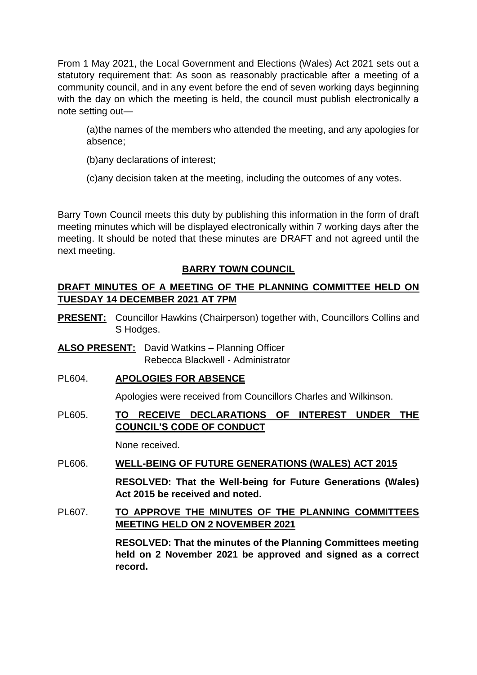From 1 May 2021, the Local Government and Elections (Wales) Act 2021 sets out a statutory requirement that: As soon as reasonably practicable after a meeting of a community council, and in any event before the end of seven working days beginning with the day on which the meeting is held, the council must publish electronically a note setting out—

(a)the names of the members who attended the meeting, and any apologies for absence;

(b)any declarations of interest;

(c)any decision taken at the meeting, including the outcomes of any votes.

Barry Town Council meets this duty by publishing this information in the form of draft meeting minutes which will be displayed electronically within 7 working days after the meeting. It should be noted that these minutes are DRAFT and not agreed until the next meeting.

# **BARRY TOWN COUNCIL**

## **DRAFT MINUTES OF A MEETING OF THE PLANNING COMMITTEE HELD ON TUESDAY 14 DECEMBER 2021 AT 7PM**

- **PRESENT:** Councillor Hawkins (Chairperson) together with, Councillors Collins and S Hodges.
- **ALSO PRESENT:** David Watkins Planning Officer Rebecca Blackwell - Administrator
- PL604. **APOLOGIES FOR ABSENCE**

Apologies were received from Councillors Charles and Wilkinson.

## PL605. **TO RECEIVE DECLARATIONS OF INTEREST UNDER THE COUNCIL'S CODE OF CONDUCT**

None received.

# PL606. **WELL-BEING OF FUTURE GENERATIONS (WALES) ACT 2015**

**RESOLVED: That the Well-being for Future Generations (Wales) Act 2015 be received and noted.** 

## PL607. **TO APPROVE THE MINUTES OF THE PLANNING COMMITTEES MEETING HELD ON 2 NOVEMBER 2021**

**RESOLVED: That the minutes of the Planning Committees meeting held on 2 November 2021 be approved and signed as a correct record.**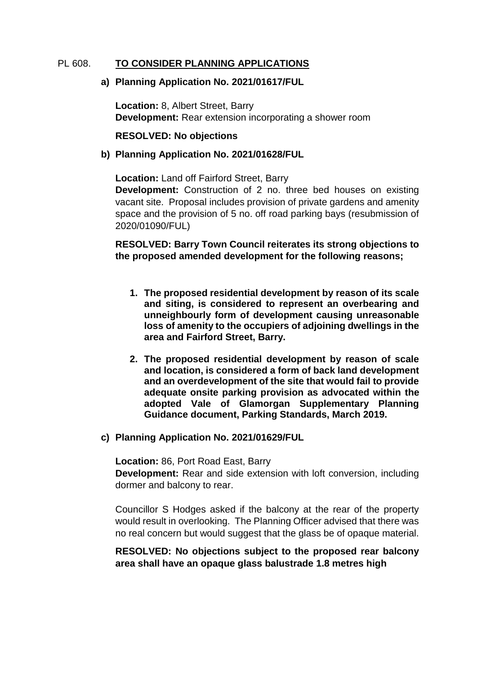#### PL 608. **TO CONSIDER PLANNING APPLICATIONS**

#### **a) Planning Application No. 2021/01617/FUL**

**Location:** 8, Albert Street, Barry **Development:** Rear extension incorporating a shower room

#### **RESOLVED: No objections**

#### **b) Planning Application No. 2021/01628/FUL**

**Location:** Land off Fairford Street, Barry **Development:** Construction of 2 no. three bed houses on existing vacant site. Proposal includes provision of private gardens and amenity space and the provision of 5 no. off road parking bays (resubmission of 2020/01090/FUL)

**RESOLVED: Barry Town Council reiterates its strong objections to the proposed amended development for the following reasons;**

- **1. The proposed residential development by reason of its scale and siting, is considered to represent an overbearing and unneighbourly form of development causing unreasonable loss of amenity to the occupiers of adjoining dwellings in the area and Fairford Street, Barry.**
- **2. The proposed residential development by reason of scale and location, is considered a form of back land development and an overdevelopment of the site that would fail to provide adequate onsite parking provision as advocated within the adopted Vale of Glamorgan Supplementary Planning Guidance document, Parking Standards, March 2019.**
- **c) Planning Application No. 2021/01629/FUL**

**Location:** 86, Port Road East, Barry **Development:** Rear and side extension with loft conversion, including dormer and balcony to rear.

Councillor S Hodges asked if the balcony at the rear of the property would result in overlooking. The Planning Officer advised that there was no real concern but would suggest that the glass be of opaque material.

### **RESOLVED: No objections subject to the proposed rear balcony area shall have an opaque glass balustrade 1.8 metres high**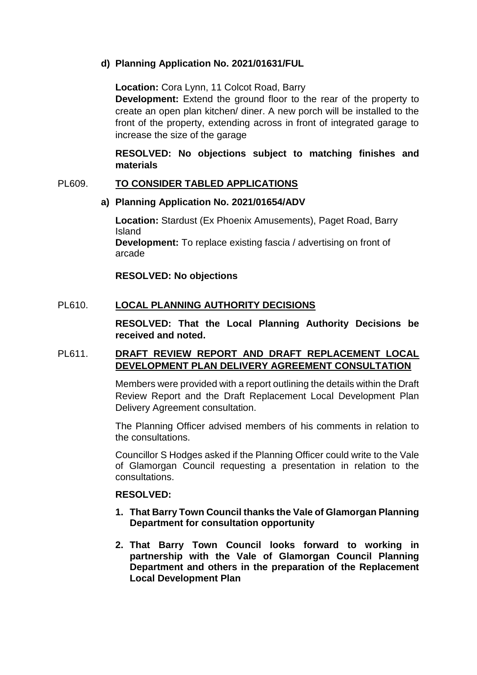## **d) Planning Application No. 2021/01631/FUL**

**Location:** Cora Lynn, 11 Colcot Road, Barry

**Development:** Extend the ground floor to the rear of the property to create an open plan kitchen/ diner. A new porch will be installed to the front of the property, extending across in front of integrated garage to increase the size of the garage

## **RESOLVED: No objections subject to matching finishes and materials**

### PL609. **TO CONSIDER TABLED APPLICATIONS**

#### **a) Planning Application No. 2021/01654/ADV**

**Location:** Stardust (Ex Phoenix Amusements), Paget Road, Barry Island **Development:** To replace existing fascia / advertising on front of arcade

**RESOLVED: No objections**

### PL610. **LOCAL PLANNING AUTHORITY DECISIONS**

**RESOLVED: That the Local Planning Authority Decisions be received and noted.** 

## PL611. **DRAFT REVIEW REPORT AND DRAFT REPLACEMENT LOCAL DEVELOPMENT PLAN DELIVERY AGREEMENT CONSULTATION**

Members were provided with a report outlining the details within the Draft Review Report and the Draft Replacement Local Development Plan Delivery Agreement consultation.

The Planning Officer advised members of his comments in relation to the consultations.

Councillor S Hodges asked if the Planning Officer could write to the Vale of Glamorgan Council requesting a presentation in relation to the consultations.

#### **RESOLVED:**

- **1. That Barry Town Council thanks the Vale of Glamorgan Planning Department for consultation opportunity**
- **2. That Barry Town Council looks forward to working in partnership with the Vale of Glamorgan Council Planning Department and others in the preparation of the Replacement Local Development Plan**